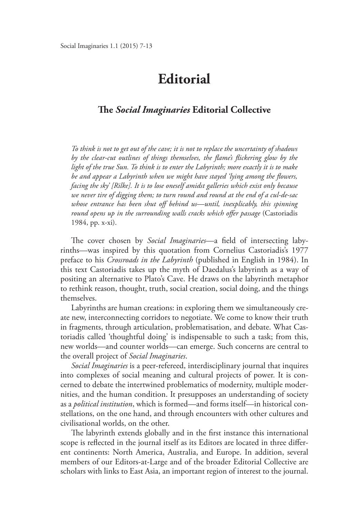## **The Social Imaginaries Editorial Collective**

*To think is not to get out of the cave; it is not to replace the uncertainty of shadows*  by the clear-cut outlines of things themselves, the flame's flickering glow by the *light of the true Sun. To think is to enter the Labyrinth; more exactly it is to make*  be and appear a Labyrinth when we might have stayed 'lying among the flowers, *facing the sky' [Rilke]. It is to lose oneself amidst galleries which exist only because we never tire of digging them; to turn round and round at the end of a cul-de-sac whose entrance has been shut off behind us—until, inexplicably, this spinning round opens up in the surrounding walls cracks which offer passage* (Castoriadis 1984, pp. x-xi).

The cover chosen by *Social Imaginaries*—a field of intersecting labyrinths—was inspired by this quotation from Cornelius Castoriadis's 1977 preface to his *Crossroads in the Labyrinth* (published in English in 1984). In this text Castoriadis takes up the myth of Daedalus's labyrinth as a way of positing an alternative to Plato's Cave. He draws on the labyrinth metaphor to rethink reason, thought, truth, social creation, social doing, and the things themselves.

Labyrinths are human creations: in exploring them we simultaneously create new, interconnecting corridors to negotiate. We come to know their truth in fragments, through articulation, problematisation, and debate. What Castoriadis called 'thoughtful doing' is indispensable to such a task; from this, new worlds—and counter worlds—can emerge. Such concerns are central to the overall project of *Social Imaginaries*.

*Social Imaginaries* is a peer-refereed, interdisciplinary journal that inquires into complexes of social meaning and cultural projects of power. It is concerned to debate the intertwined problematics of modernity, multiple modernities, and the human condition. It presupposes an understanding of society as a *political institution*, which is formed—and forms itself—in historical constellations, on the one hand, and through encounters with other cultures and civilisational worlds, on the other.

The labyrinth extends globally and in the first instance this international scope is reflected in the journal itself as its Editors are located in three different continents: North America, Australia, and Europe. In addition, several members of our Editors-at-Large and of the broader Editorial Collective are scholars with links to East Asia, an important region of interest to the journal.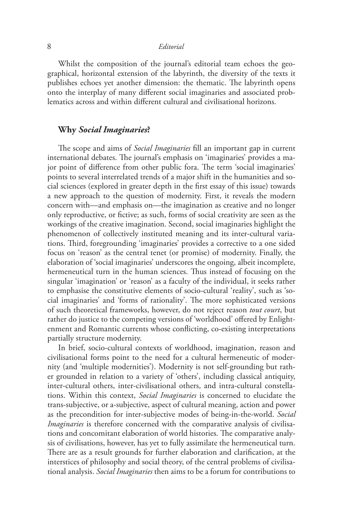Whilst the composition of the journal's editorial team echoes the geographical, horizontal extension of the labyrinth, the diversity of the texts it publishes echoes yet another dimension: the thematic. The labyrinth opens onto the interplay of many different social imaginaries and associated problematics across and within different cultural and civilisational horizons.

## **Why** *Social Imaginaries***?**

The scope and aims of *Social Imaginaries* fill an important gap in current international debates. The journal's emphasis on 'imaginaries' provides a major point of difference from other public fora. The term 'social imaginaries' points to several interrelated trends of a major shift in the humanities and social sciences (explored in greater depth in the first essay of this issue) towards a new approach to the question of modernity. First, it reveals the modern concern with—and emphasis on—the imagination as creative and no longer only reproductive, or fictive; as such, forms of social creativity are seen as the workings of the creative imagination. Second, social imaginaries highlight the phenomenon of collectively instituted meaning and its inter-cultural variations. Third, foregrounding 'imaginaries' provides a corrective to a one sided focus on 'reason' as the central tenet (or promise) of modernity. Finally, the elaboration of 'social imaginaries' underscores the ongoing, albeit incomplete, hermeneutical turn in the human sciences. Thus instead of focusing on the singular 'imagination' or 'reason' as a faculty of the individual, it seeks rather to emphasise the constitutive elements of socio-cultural 'reality', such as 'social imaginaries' and 'forms of rationality'. The more sophisticated versions of such theoretical frameworks, however, do not reject reason *tout court*, but rather do justice to the competing versions of 'worldhood' offered by Enlightenment and Romantic currents whose conflicting, co-existing interpretations partially structure modernity.

In brief, socio-cultural contexts of worldhood, imagination, reason and civilisational forms point to the need for a cultural hermeneutic of modernity (and 'multiple modernities'). Modernity is not self-grounding but rather grounded in relation to a variety of 'others', including classical antiquity, inter-cultural others, inter-civilisational others, and intra-cultural constellations. Within this context, *Social Imaginaries* is concerned to elucidate the trans-subjective, or a-subjective, aspect of cultural meaning, action and power as the precondition for inter-subjective modes of being-in-the-world. *Social Imaginaries* is therefore concerned with the comparative analysis of civilisations and concomitant elaboration of world histories. The comparative analysis of civilisations, however, has yet to fully assimilate the hermeneutical turn. There are as a result grounds for further elaboration and clarification, at the interstices of philosophy and social theory, of the central problems of civilisational analysis. *Social Imaginaries* then aims to be a forum for contributions to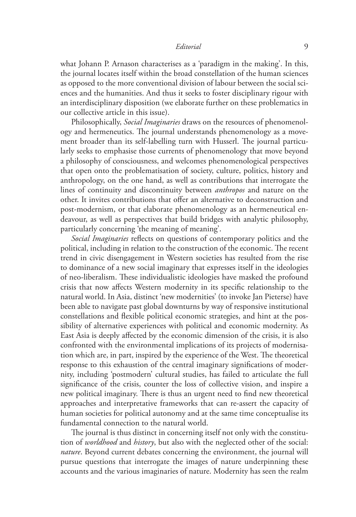what Johann P. Arnason characterises as a 'paradigm in the making'. In this, the journal locates itself within the broad constellation of the human sciences as opposed to the more conventional division of labour between the social sciences and the humanities. And thus it seeks to foster disciplinary rigour with an interdisciplinary disposition (we elaborate further on these problematics in our collective article in this issue).

Philosophically, *Social Imaginaries* draws on the resources of phenomenology and hermeneutics. The journal understands phenomenology as a movement broader than its self-labelling turn with Husserl. The journal particularly seeks to emphasise those currents of phenomenology that move beyond a philosophy of consciousness, and welcomes phenomenological perspectives that open onto the problematisation of society, culture, politics, history and anthropology, on the one hand, as well as contributions that interrogate the lines of continuity and discontinuity between *anthropos* and nature on the other. It invites contributions that offer an alternative to deconstruction and post-modernism, or that elaborate phenomenology as an hermeneutical endeavour, as well as perspectives that build bridges with analytic philosophy, particularly concerning 'the meaning of meaning'.

*Social Imaginaries* reflects on questions of contemporary politics and the political, including in relation to the construction of the economic. The recent trend in civic disengagement in Western societies has resulted from the rise to dominance of a new social imaginary that expresses itself in the ideologies of neo-liberalism. These individualistic ideologies have masked the profound crisis that now affects Western modernity in its specific relationship to the natural world. In Asia, distinct 'new modernities' (to invoke Jan Pieterse) have been able to navigate past global downturns by way of responsive institutional constellations and flexible political economic strategies, and hint at the possibility of alternative experiences with political and economic modernity. As East Asia is deeply affected by the economic dimension of the crisis, it is also confronted with the environmental implications of its projects of modernisation which are, in part, inspired by the experience of the West. The theoretical response to this exhaustion of the central imaginary significations of modernity, including 'postmodern' cultural studies, has failed to articulate the full significance of the crisis, counter the loss of collective vision, and inspire a new political imaginary. There is thus an urgent need to find new theoretical approaches and interpretative frameworks that can re-assert the capacity of human societies for political autonomy and at the same time conceptualise its fundamental connection to the natural world.

The journal is thus distinct in concerning itself not only with the constitution of *worldhood* and *history*, but also with the neglected other of the social: *nature*. Beyond current debates concerning the environment, the journal will pursue questions that interrogate the images of nature underpinning these accounts and the various imaginaries of nature. Modernity has seen the realm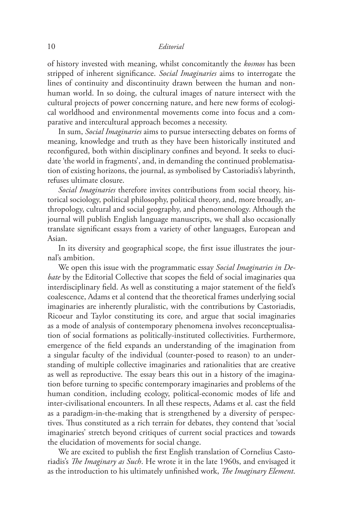of history invested with meaning, whilst concomitantly the *kosmos* has been stripped of inherent significance. *Social Imaginaries* aims to interrogate the lines of continuity and discontinuity drawn between the human and nonhuman world. In so doing, the cultural images of nature intersect with the cultural projects of power concerning nature, and here new forms of ecological worldhood and environmental movements come into focus and a comparative and intercultural approach becomes a necessity.

In sum, *Social Imaginaries* aims to pursue intersecting debates on forms of meaning, knowledge and truth as they have been historically instituted and reconfigured, both within disciplinary confines and beyond. It seeks to elucidate 'the world in fragments', and, in demanding the continued problematisation of existing horizons, the journal, as symbolised by Castoriadis's labyrinth, refuses ultimate closure.

*Social Imaginaries* therefore invites contributions from social theory, historical sociology, political philosophy, political theory, and, more broadly, anthropology, cultural and social geography, and phenomenology. Although the journal will publish English language manuscripts, we shall also occasionally translate significant essays from a variety of other languages, European and Asian.

In its diversity and geographical scope, the first issue illustrates the journal's ambition.

We open this issue with the programmatic essay *Social Imaginaries in Debate* by the Editorial Collective that scopes the field of social imaginaries qua interdisciplinary field. As well as constituting a major statement of the field's coalescence, Adams et al contend that the theoretical frames underlying social imaginaries are inherently pluralistic, with the contributions by Castoriadis, Ricoeur and Taylor constituting its core, and argue that social imaginaries as a mode of analysis of contemporary phenomena involves reconceptualisation of social formations as politically-instituted collectivities. Furthermore, emergence of the field expands an understanding of the imagination from a singular faculty of the individual (counter-posed to reason) to an understanding of multiple collective imaginaries and rationalities that are creative as well as reproductive. The essay bears this out in a history of the imagination before turning to specific contemporary imaginaries and problems of the human condition, including ecology, political-economic modes of life and inter-civilisational encounters. In all these respects, Adams et al. cast the field as a paradigm-in-the-making that is strengthened by a diversity of perspectives. Thus constituted as a rich terrain for debates, they contend that 'social imaginaries' stretch beyond critiques of current social practices and towards the elucidation of movements for social change.

We are excited to publish the first English translation of Cornelius Castoriadis's *The Imaginary as Such*. He wrote it in the late 1960s, and envisaged it as the introduction to his ultimately unfinished work, *The Imaginary Element*.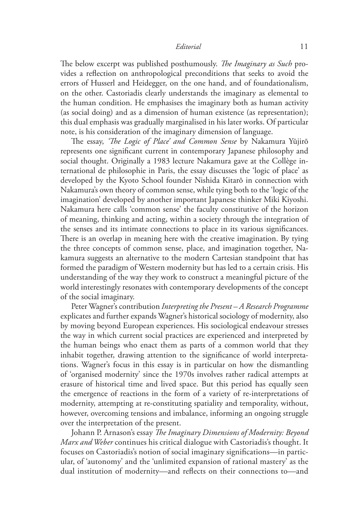The below excerpt was published posthumously. *The Imaginary as Such* provides a reflection on anthropological preconditions that seeks to avoid the errors of Husserl and Heidegger, on the one hand, and of foundationalism, on the other. Castoriadis clearly understands the imaginary as elemental to the human condition. He emphasises the imaginary both as human activity (as social doing) and as a dimension of human existence (as representation); this dual emphasis was gradually marginalised in his later works. Of particular note, is his consideration of the imaginary dimension of language.

The essay, *'The Logic of Place' and Common Sense* by Nakamura Yūjirō represents one significant current in contemporary Japanese philosophy and social thought. Originally a 1983 lecture Nakamura gave at the Collège international de philosophie in Paris, the essay discusses the 'logic of place' as developed by the Kyoto School founder Nishida Kitarō in connection with Nakamura's own theory of common sense, while tying both to the 'logic of the imagination' developed by another important Japanese thinker Miki Kiyoshi. Nakamura here calls 'common sense' the faculty constitutive of the horizon of meaning, thinking and acting, within a society through the integration of the senses and its intimate connections to place in its various significances. There is an overlap in meaning here with the creative imagination. By tying the three concepts of common sense, place, and imagination together, Nakamura suggests an alternative to the modern Cartesian standpoint that has formed the paradigm of Western modernity but has led to a certain crisis. His understanding of the way they work to construct a meaningful picture of the world interestingly resonates with contemporary developments of the concept of the social imaginary.

Peter Wagner's contribution *Interpreting the Present – A Research Programme* explicates and further expands Wagner's historical sociology of modernity, also by moving beyond European experiences. His sociological endeavour stresses the way in which current social practices are experienced and interpreted by the human beings who enact them as parts of a common world that they inhabit together, drawing attention to the significance of world interpretations. Wagner's focus in this essay is in particular on how the dismantling of 'organised modernity' since the 1970s involves rather radical attempts at erasure of historical time and lived space. But this period has equally seen the emergence of reactions in the form of a variety of re-interpretations of modernity, attempting at re-constituting spatiality and temporality, without, however, overcoming tensions and imbalance, informing an ongoing struggle over the interpretation of the present.

Johann P. Arnason's essay *The Imaginary Dimensions of Modernity: Beyond Marx and Weber* continues his critical dialogue with Castoriadis's thought. It focuses on Castoriadis's notion of social imaginary significations—in particular, of 'autonomy' and the 'unlimited expansion of rational mastery' as the dual institution of modernity—and reflects on their connections to—and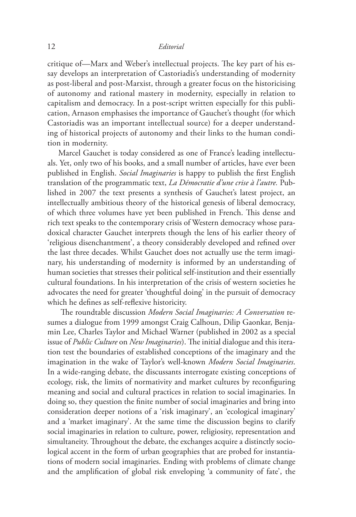critique of—Marx and Weber's intellectual projects. The key part of his essay develops an interpretation of Castoriadis's understanding of modernity as post-liberal and post-Marxist, through a greater focus on the historicising of autonomy and rational mastery in modernity, especially in relation to capitalism and democracy. In a post-script written especially for this publication, Arnason emphasises the importance of Gauchet's thought (for which Castoriadis was an important intellectual source) for a deeper understanding of historical projects of autonomy and their links to the human condition in modernity.

Marcel Gauchet is today considered as one of France's leading intellectuals. Yet, only two of his books, and a small number of articles, have ever been published in English. *Social Imaginaries* is happy to publish the first English translation of the programmatic text, *La Démocratie d'une crise à l'autre.* Published in 2007 the text presents a synthesis of Gauchet's latest project, an intellectually ambitious theory of the historical genesis of liberal democracy, of which three volumes have yet been published in French. This dense and rich text speaks to the contemporary crisis of Western democracy whose paradoxical character Gauchet interprets though the lens of his earlier theory of 'religious disenchantment', a theory considerably developed and refined over the last three decades. Whilst Gauchet does not actually use the term imaginary, his understanding of modernity is informed by an understanding of human societies that stresses their political self-institution and their essentially cultural foundations. In his interpretation of the crisis of western societies he advocates the need for greater 'thoughtful doing' in the pursuit of democracy which he defines as self-reflexive historicity.

The roundtable discussion Modern Social Imaginaries: A Conversation resumes a dialogue from 1999 amongst Craig Calhoun, Dilip Gaonkar, Benjamin Lee, Charles Taylor and Michael Warner (published in 2002 as a special issue of *Public Culture* on *New Imaginaries*). The initial dialogue and this iteration test the boundaries of established conceptions of the imaginary and the imagination in the wake of Taylor's well-known *Modern Social Imaginaries*. In a wide-ranging debate, the discussants interrogate existing conceptions of ecology, risk, the limits of normativity and market cultures by reconfiguring meaning and social and cultural practices in relation to social imaginaries. In doing so, they question the finite number of social imaginaries and bring into consideration deeper notions of a 'risk imaginary', an 'ecological imaginary' and a 'market imaginary'. At the same time the discussion begins to clarify social imaginaries in relation to culture, power, religiosity, representation and simultaneity. Throughout the debate, the exchanges acquire a distinctly sociological accent in the form of urban geographies that are probed for instantiations of modern social imaginaries. Ending with problems of climate change and the amplification of global risk enveloping 'a community of fate', the